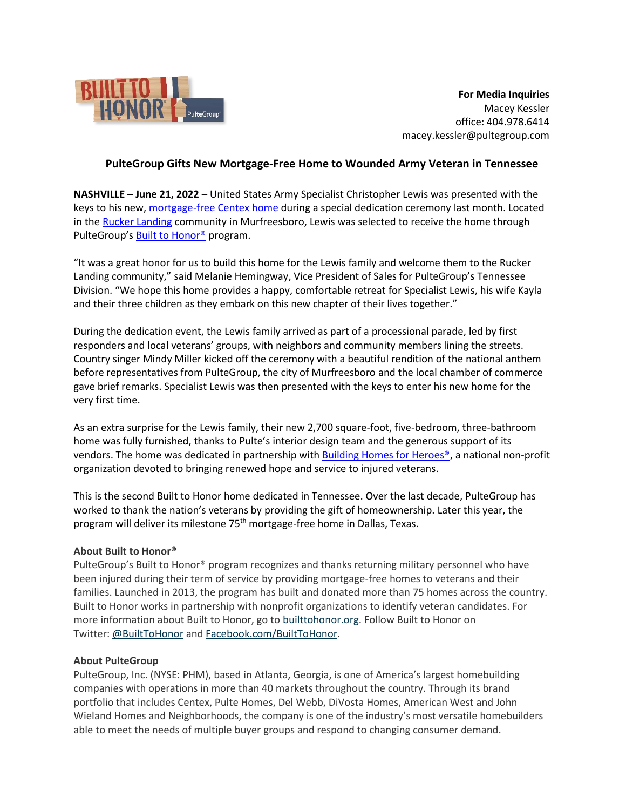

**For Media Inquiries** Macey Kessler office: 404.978.6414 macey.kessler@pultegroup.com

## **PulteGroup Gifts New Mortgage-Free Home to Wounded Army Veteran in Tennessee**

**NASHVILLE – June 21, 2022** – United States Army Specialist Christopher Lewis was presented with the keys to his new[, mortgage-free Centex](https://newsroom.pultegroup.com/news/pultegroups-built-to-honor-program-breaks-ground-on-new-mortgage-free-home-for-injured-veteran-and-family-in-tennessee.htm) home during a special dedication ceremony last month. Located in the [Rucker Landing](https://www.centex.com/homes/tennessee/nashville/murfreesboro/rucker-landing-210591) community in Murfreesboro, Lewis was selected to receive the home through PulteGroup's [Built to Honor®](http://builttohonor.org/) program.

"It was a great honor for us to build this home for the Lewis family and welcome them to the Rucker Landing community," said Melanie Hemingway, Vice President of Sales for PulteGroup's Tennessee Division. "We hope this home provides a happy, comfortable retreat for Specialist Lewis, his wife Kayla and their three children as they embark on this new chapter of their lives together."

During the dedication event, the Lewis family arrived as part of a processional parade, led by first responders and local veterans' groups, with neighbors and community members lining the streets. Country singer Mindy Miller kicked off the ceremony with a beautiful rendition of the national anthem before representatives from PulteGroup, the city of Murfreesboro and the local chamber of commerce gave brief remarks. Specialist Lewis was then presented with the keys to enter his new home for the very first time.

As an extra surprise for the Lewis family, their new 2,700 square-foot, five-bedroom, three-bathroom home was fully furnished, thanks to Pulte's interior design team and the generous support of its vendors. The home was dedicated in partnership with **Building Homes for Heroes®**, a national non-profit organization devoted to bringing renewed hope and service to injured veterans.

This is the second Built to Honor home dedicated in Tennessee. Over the last decade, PulteGroup has worked to thank the nation's veterans by providing the gift of homeownership. Later this year, the program will deliver its milestone 75<sup>th</sup> mortgage-free home in Dallas, Texas.

## **About Built to Honor®**

PulteGroup's Built to Honor® program recognizes and thanks returning military personnel who have been injured during their term of service by providing mortgage-free homes to veterans and their families. Launched in 2013, the program has built and donated more than 75 homes across the country. Built to Honor works in partnership with nonprofit organizations to identify veteran candidates. For more information about Built to Honor, go to [builttohonor.org.](http://builttohonor.org/) Follow Built to Honor on Twitter: [@BuiltToHonor](https://twitter.com/builttohonor) and [Facebook.com/BuiltToHonor.](https://facebook.com/builttohonor)

## **About PulteGroup**

PulteGroup, Inc. (NYSE: PHM), based in Atlanta, Georgia, is one of America's largest homebuilding companies with operations in more than 40 markets throughout the country. Through its brand portfolio that includes Centex, Pulte Homes, Del Webb, DiVosta Homes, American West and John Wieland Homes and Neighborhoods, the company is one of the industry's most versatile homebuilders able to meet the needs of multiple buyer groups and respond to changing consumer demand.